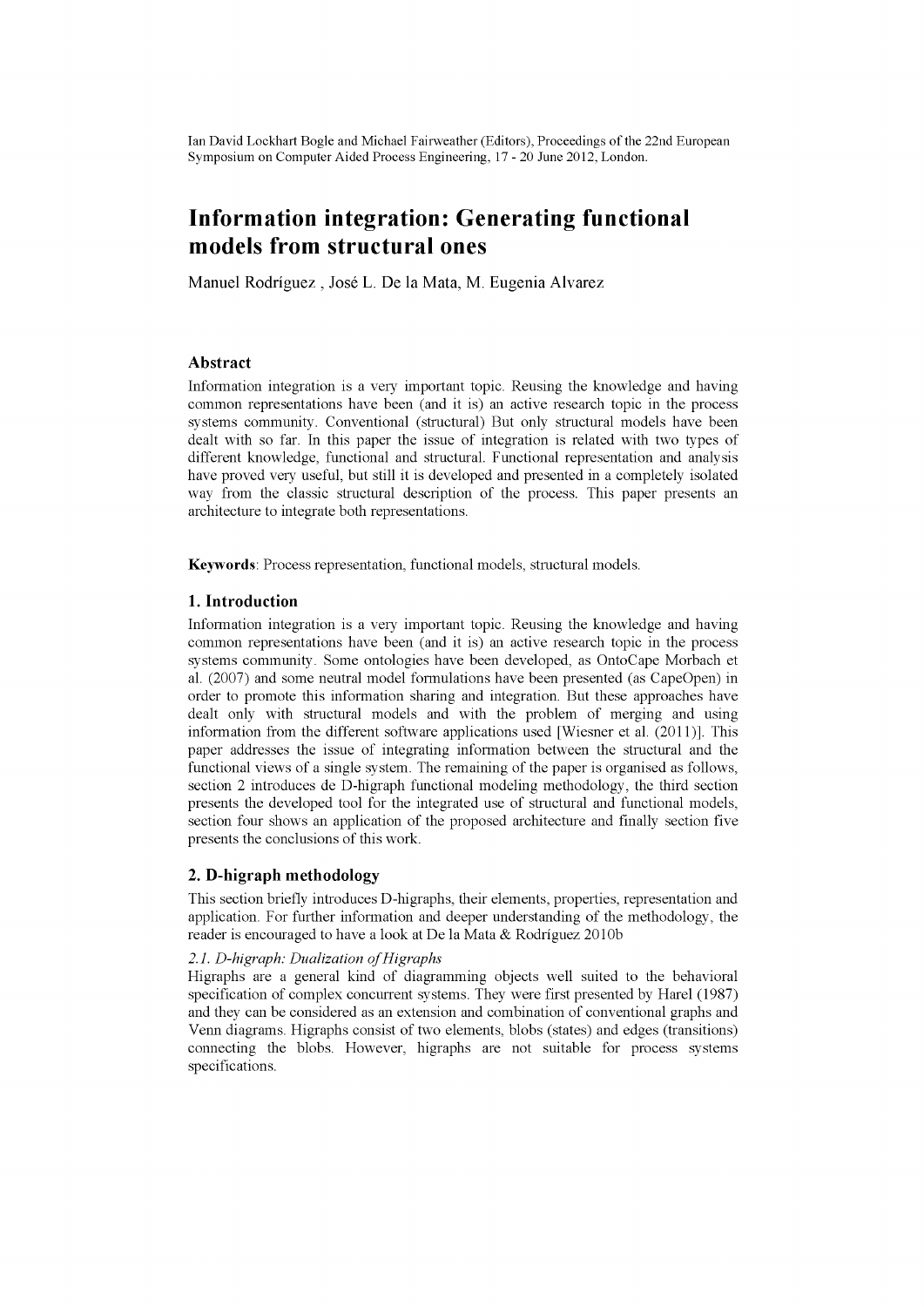Ian David Lockhart Bogle and Michael Fairweather (Editors), Proceedings of the 22nd European Symposium on Computer Aided Process Engineering, 17-20 June 2012, London.

# **Information integration: Generating functional models from structural ones**

Manuel Rodríguez , José L. De la Mata, M. Eugenia Alvarez

# **Abstract**

Information integration is a very important topic. Reusing the knowledge and having common representations have been (and it is) an active research topic in the process systems community. Conventional (structural) But only structural models have been dealt with so far. In this paper the issue of integration is related with two types of different knowledge, functional and structural. Functional representation and analysis have proved very useful, but still it is developed and presented in a completely isolated way from the classic structural description of the process. This paper presents an architecture to integrate both representations.

**Keywords:** Process representation, functional models, structural models.

# **1. Introduction**

Information integration is a very important topic. Reusing the knowledge and having common representations have been (and it is) an active research topic in the process systems community. Some ontologies have been developed, as OntoCape Morbach et al. (2007) and some neutral model formulations have been presented (as CapeOpen) in order to promote this information sharing and integration. But these approaches have dealt only with structural models and with the problem of merging and using information from the different software applications used [Wiesner et al. (2011)]. This paper addresses the issue of integrating information between the structural and the functional views of a single system. The remaining of the paper is organised as follows, section 2 introduces de D-higraph functional modeling methodology, the third section presents the developed tool for the integrated use of structural and functional models, section four shows an application of the proposed architecture and finally section five presents the conclusions of this work.

## **2. D-higraph methodology**

This section briefly introduces D-higraphs, their elements, properties, representation and application. For further information and deeper understanding of the methodology, the reader is encouraged to have a look at De la Mata & Rodríguez 2010b

# *2.1. D-higraph: Dualization of Higraphs*

Higraphs are a general kind of diagramming objects well suited to the behavioral specification of complex concurrent systems. They were first presented by Harel (1987) and they can be considered as an extension and combination of conventional graphs and Venn diagrams. Higraphs consist of two elements, blobs (states) and edges (transitions) connecting the blobs. However, higraphs are not suitable for process systems specifications.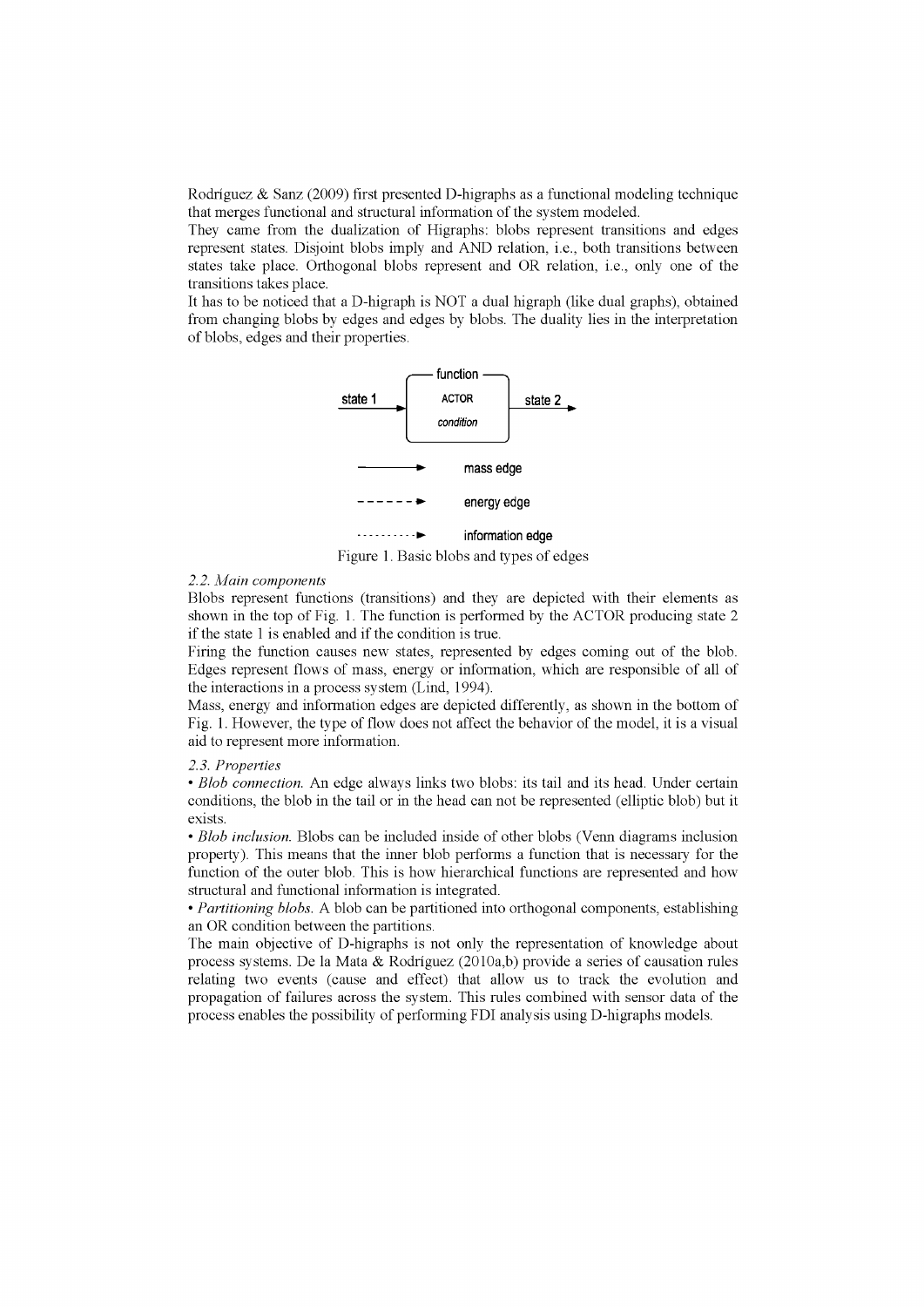Rodríguez & Sanz (2009) first presented D-higraphs as a functional modeling technique that merges functional and structural information of the system modeled.

They came from the dualization of Higraphs: blobs represent transitions and edges represent states. Disjoint blobs imply and AND relation, i.e., both transitions between states take place. Orthogonal blobs represent and OR relation, i.e., only one of the transitions takes place.

It has to be noticed that a D-higraph is NOT a dual higraph (like dual graphs), obtained from changing blobs by edges and edges by blobs. The duality lies in the interpretation of blobs, edges and their properties.



Figure 1. Basic blobs and types of edges

## *2.2. Main components*

Blobs represent functions (transitions) and they are depicted with their elements as shown in the top of Fig. 1. The function is performed by the ACTOR producing state 2 if the state 1 is enabled and if the condition is true.

Firing the function causes new states, represented by edges coming out of the blob. Edges represent flows of mass, energy or information, which are responsible of all of the interactions in a process system (Lind, 1994).

Mass, energy and information edges are depicted differently, as shown in the bottom of Fig. 1. However, the type of flow does not affect the behavior of the model, it is a visual aid to represent more information.

# *2.3. Properties*

*• Blob connection.* An edge always links two blobs: its tail and its head. Under certain conditions, the blob in the tail or in the head can not be represented (elliptic blob) but it exists.

• *Blob inclusion.* Blobs can be included inside of other blobs (Venn diagrams inclusion property). This means that the inner blob performs a function that is necessary for the function of the outer blob. This is how hierarchical functions are represented and how structural and functional information is integrated.

• *Partitioning blobs.* A blob can be partitioned into orthogonal components, establishing an OR condition between the partitions.

The main objective of D-higraphs is not only the representation of knowledge about process systems. De la Mata & Rodríguez (2010a,b) provide a series of causation rules relating two events (cause and effect) that allow us to track the evolution and propagation of failures across the system. This rules combined with sensor data of the process enables the possibility of performing FDI analysis using D-higraphs models.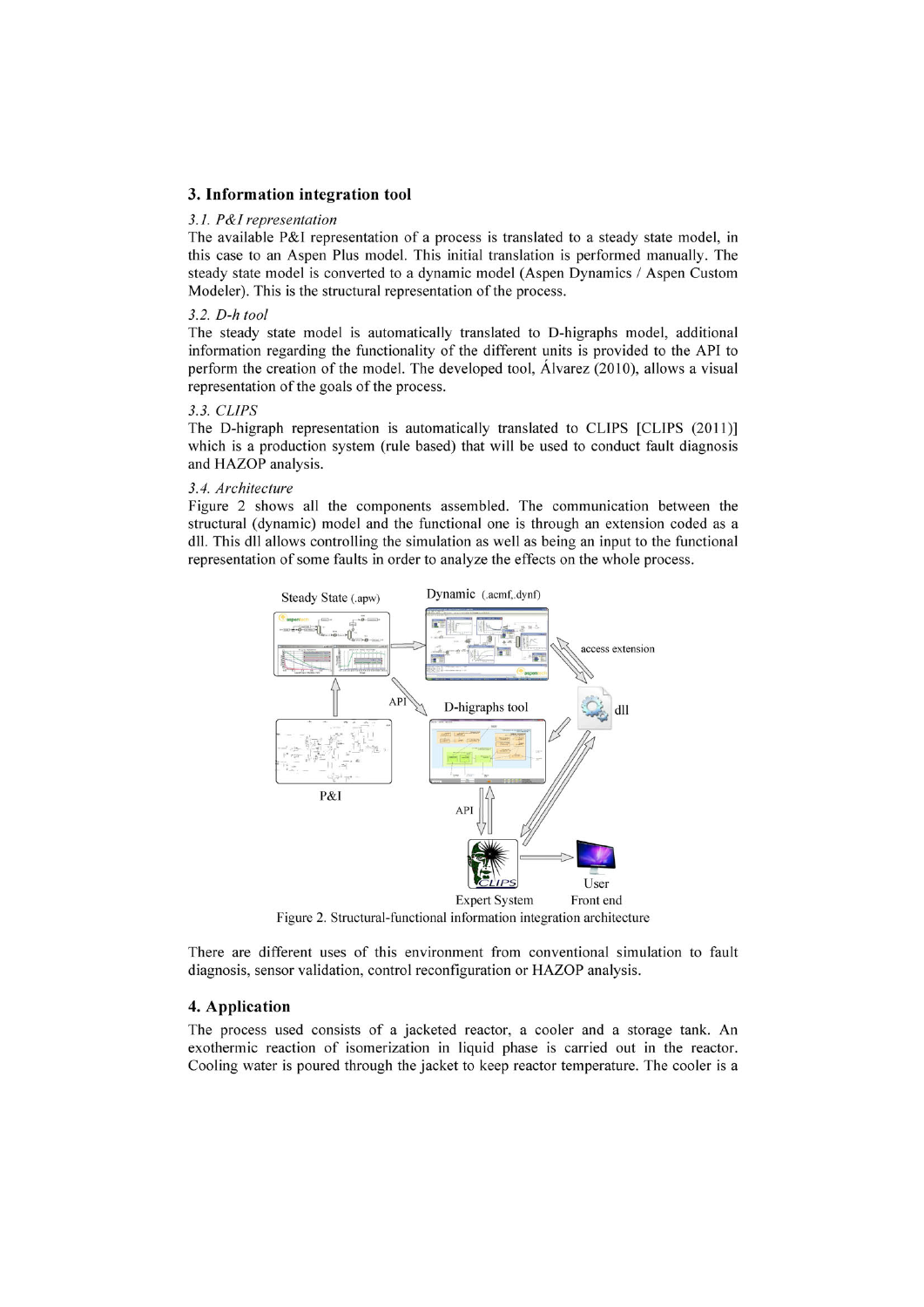# **3. Information integration tool**

#### *3.1. P&I representation*

The available P&I representation of a process is translated to a steady state model, in this case to an Aspen Plus model. This initial translation is performed manually. The steady state model is converted to a dynamic model (Aspen Dynamics / Aspen Custom Modeler). This is the structural representation of the process.

#### *3.2. D-h tool*

The steady state model is automatically translated to D-higraphs model, additional information regarding the functionality of the different units is provided to the API to perform the creation of the model. The developed tool, Alvarez (2010), allows a visual representation of the goals of the process.

#### *3.3. CLIPS*

The D-higraph representation is automatically translated to CLIPS [CLIPS (2011)] which is a production system (rule based) that will be used to conduct fault diagnosis and HAZOP analysis.

#### *3.4. Architecture*

Figure 2 shows all the components assembled. The communication between the structural (dynamic) model and the functional one is through an extension coded as a dll. This dll allows controlling the simulation as well as being an input to the functional representation of some faults in order to analyze the effects on the whole process.



Figure 2. Structural-functional information integration architecture

There are different uses of this environment from conventional simulation to fault diagnosis, sensor validation, control reconfiguration or HAZOP analysis.

#### **4. Application**

The process used consists of a jacketed reactor, a cooler and a storage tank. An exothermic reaction of isomerization in liquid phase is carried out in the reactor. Cooling water is poured through the jacket to keep reactor temperature. The cooler is a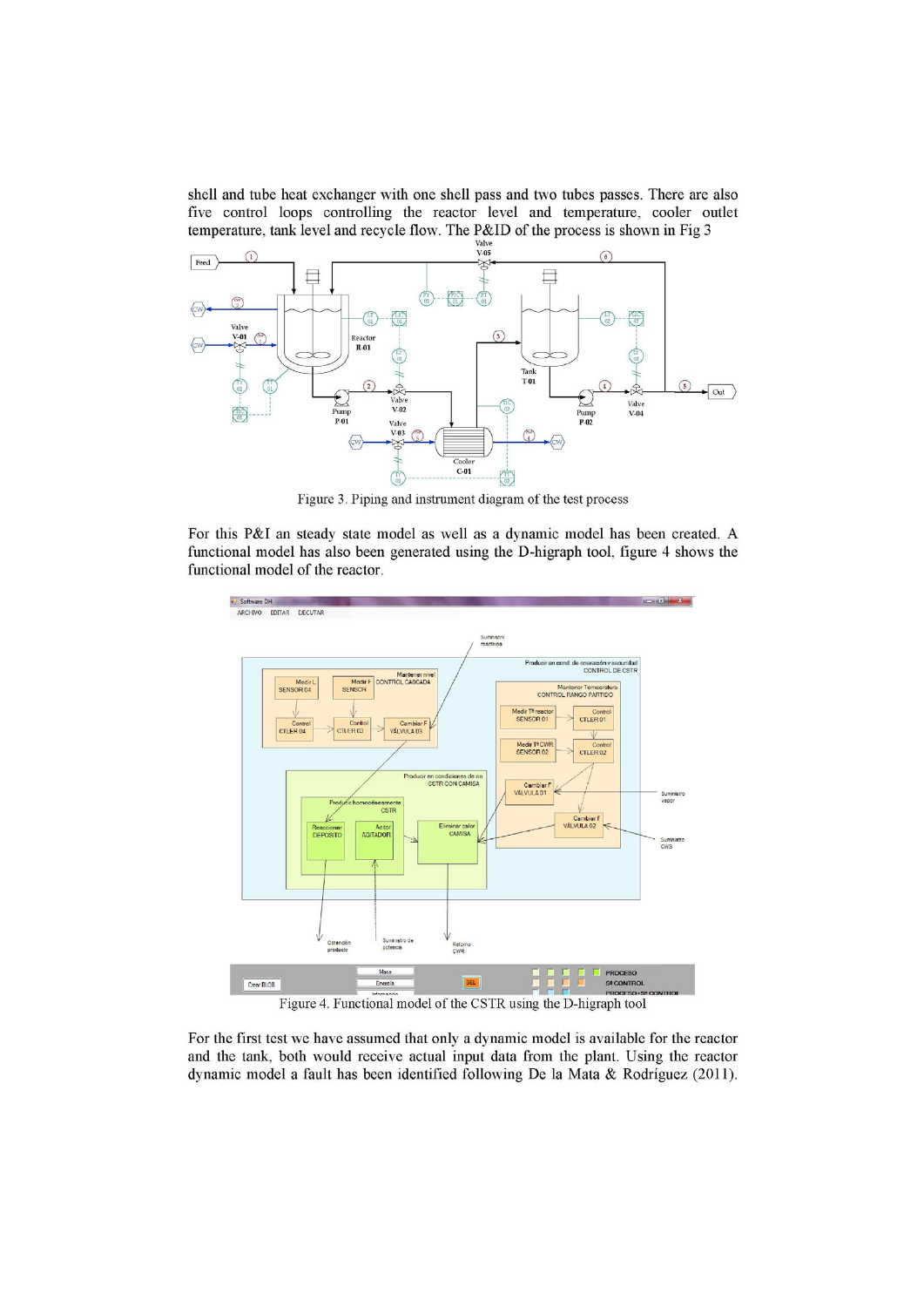shell and tube heat exchanger with one shell pass and two tubes passes. There are also five control loops controlling the reactor level and temperature, cooler outlet temperature, tank level and recycle flow. The P&ID of the process is shown in Fig 3



Figure 3. Piping and instrument diagram of the test process

For this P&I an steady state model as well as a dynamic model has been created. A functional model has also been generated using the D-higraph tool, figure 4 shows the functional model of the reactor.



For the first test we have assumed that only a dynamic model is available for the reactor and the tank, both would receive actual input data from the plant. Using the reactor dynamic model a fault has been identified following De la Mata & Rodríguez (2011).